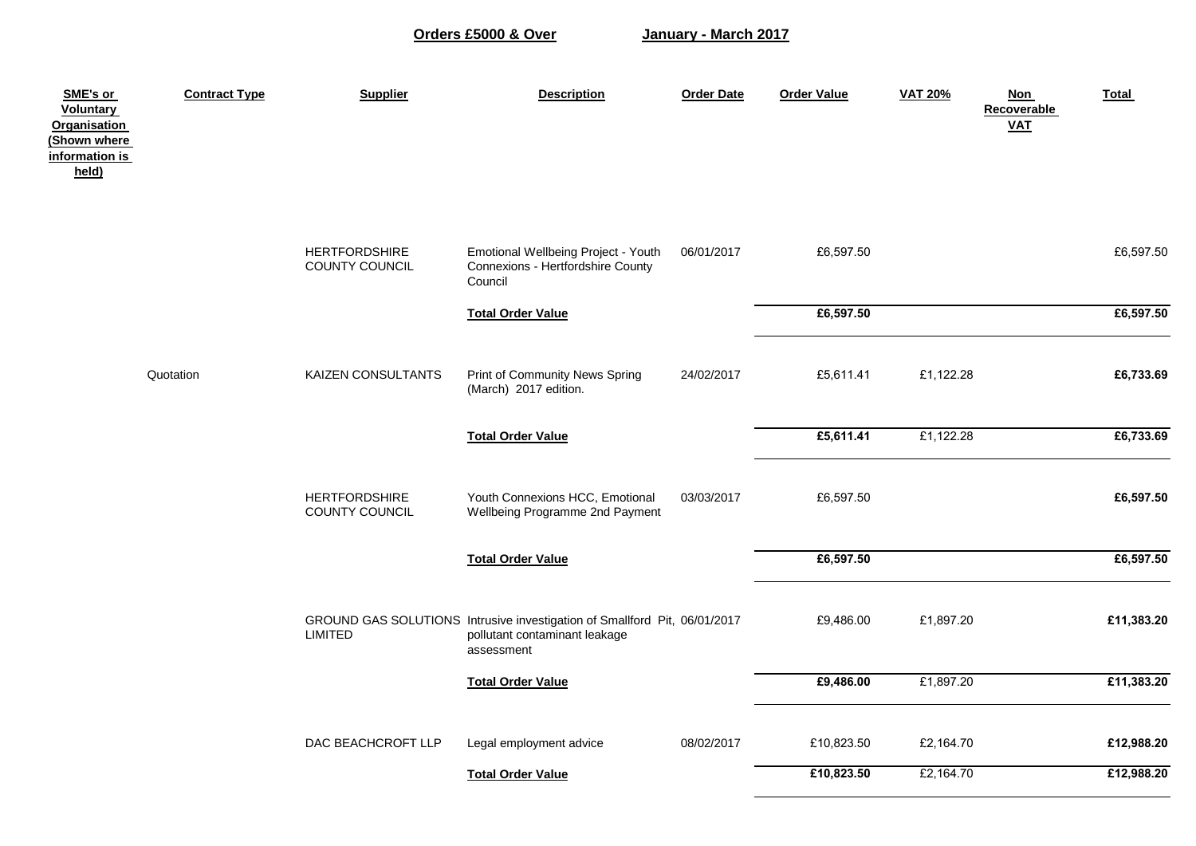**Orders £5000 & Over**

**January - March 2017**

| SME's or<br><b>Voluntary</b><br><b>Organisation</b><br>(Shown where<br>information is<br>held) | <b>Contract Type</b> | <b>Supplier</b>                        | <b>Description</b>                                                                                                       | <b>Order Date</b> | <b>Order Value</b> | <b>VAT 20%</b> | <b>Non</b><br>Recoverable<br><b>VAT</b> | <b>Total</b> |
|------------------------------------------------------------------------------------------------|----------------------|----------------------------------------|--------------------------------------------------------------------------------------------------------------------------|-------------------|--------------------|----------------|-----------------------------------------|--------------|
|                                                                                                |                      | <b>HERTFORDSHIRE</b><br>COUNTY COUNCIL | Emotional Wellbeing Project - Youth<br>Connexions - Hertfordshire County<br>Council                                      | 06/01/2017        | £6,597.50          |                |                                         | £6,597.50    |
|                                                                                                |                      |                                        | <b>Total Order Value</b>                                                                                                 |                   | £6,597.50          |                |                                         | £6,597.50    |
|                                                                                                | Quotation            | KAIZEN CONSULTANTS                     | Print of Community News Spring<br>(March) 2017 edition.                                                                  | 24/02/2017        | £5,611.41          | £1,122.28      |                                         | £6,733.69    |
|                                                                                                |                      |                                        | <b>Total Order Value</b>                                                                                                 |                   | £5,611.41          | £1,122.28      |                                         | £6,733.69    |
|                                                                                                |                      | <b>HERTFORDSHIRE</b><br>COUNTY COUNCIL | Youth Connexions HCC, Emotional<br>Wellbeing Programme 2nd Payment                                                       | 03/03/2017        | £6,597.50          |                |                                         | £6,597.50    |
|                                                                                                |                      |                                        | <b>Total Order Value</b>                                                                                                 |                   | £6,597.50          |                |                                         | £6,597.50    |
|                                                                                                |                      | <b>LIMITED</b>                         | GROUND GAS SOLUTIONS Intrusive investigation of Smallford Pit, 06/01/2017<br>pollutant contaminant leakage<br>assessment |                   | £9,486.00          | £1,897.20      |                                         | £11,383.20   |
|                                                                                                |                      |                                        | <b>Total Order Value</b>                                                                                                 |                   | £9,486.00          | £1,897.20      |                                         | £11,383.20   |
|                                                                                                |                      | DAC BEACHCROFT LLP                     | Legal employment advice                                                                                                  | 08/02/2017        | £10,823.50         | £2,164.70      |                                         | £12,988.20   |
|                                                                                                |                      |                                        | <b>Total Order Value</b>                                                                                                 |                   | £10,823.50         | £2,164.70      |                                         | £12,988.20   |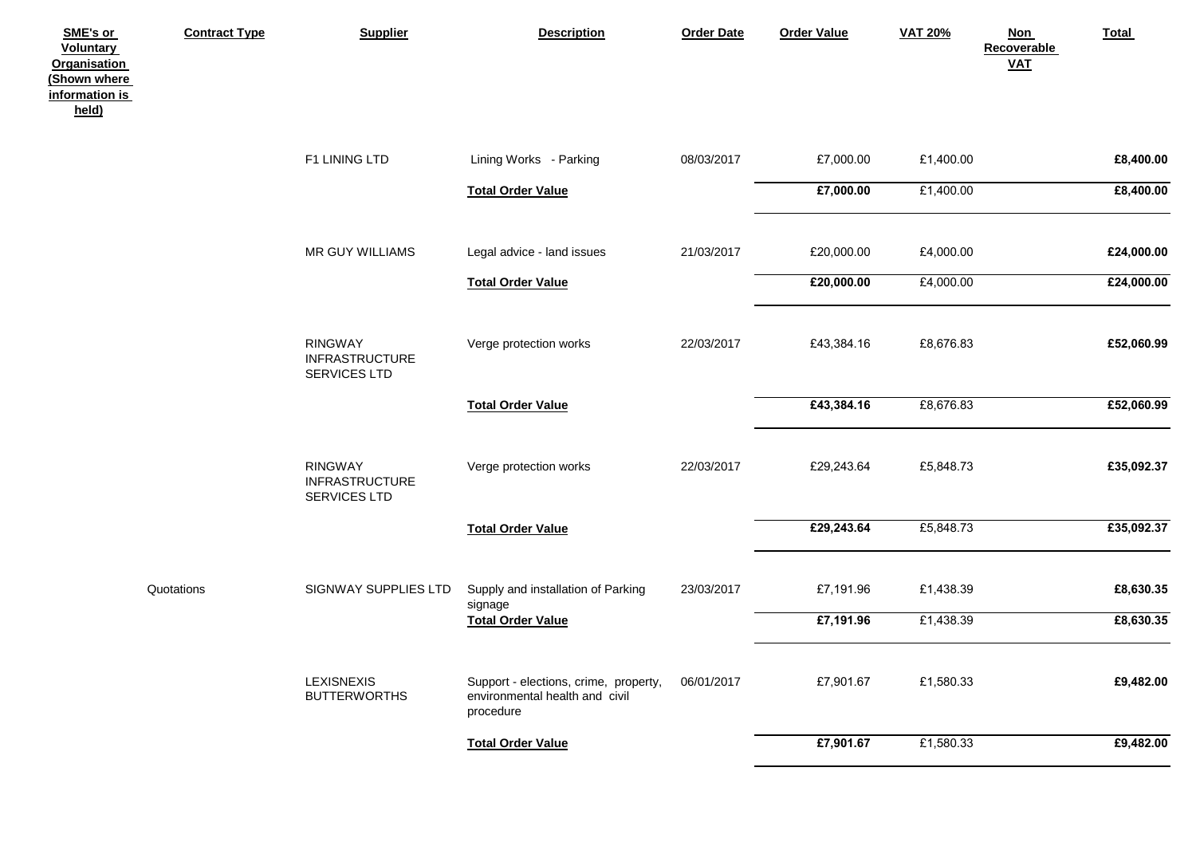| SME's or<br><b>Voluntary</b><br><b>Organisation</b><br>(Shown where<br>information is<br>held) | <b>Contract Type</b> | <b>Supplier</b>                                         | <b>Description</b>                                                                   | <b>Order Date</b> | <b>Order Value</b> | <b>VAT 20%</b> | <b>Non</b><br><b>Recoverable</b><br>$VAL$ | Total      |
|------------------------------------------------------------------------------------------------|----------------------|---------------------------------------------------------|--------------------------------------------------------------------------------------|-------------------|--------------------|----------------|-------------------------------------------|------------|
|                                                                                                |                      | F1 LINING LTD                                           | Lining Works - Parking                                                               | 08/03/2017        | £7,000.00          | £1,400.00      |                                           | £8,400.00  |
|                                                                                                |                      |                                                         | <b>Total Order Value</b>                                                             |                   | £7,000.00          | £1,400.00      |                                           | £8,400.00  |
|                                                                                                |                      | MR GUY WILLIAMS                                         | Legal advice - land issues                                                           | 21/03/2017        | £20,000.00         | £4,000.00      |                                           | £24,000.00 |
|                                                                                                |                      |                                                         | <b>Total Order Value</b>                                                             |                   | £20,000.00         | £4,000.00      |                                           | £24,000.00 |
|                                                                                                |                      | <b>RINGWAY</b><br><b>INFRASTRUCTURE</b><br>SERVICES LTD | Verge protection works                                                               | 22/03/2017        | £43,384.16         | £8,676.83      |                                           | £52,060.99 |
|                                                                                                |                      |                                                         | <b>Total Order Value</b>                                                             |                   | £43,384.16         | £8,676.83      |                                           | £52,060.99 |
|                                                                                                |                      | <b>RINGWAY</b><br><b>INFRASTRUCTURE</b><br>SERVICES LTD | Verge protection works                                                               | 22/03/2017        | £29,243.64         | £5,848.73      |                                           | £35,092.37 |
|                                                                                                |                      |                                                         | <b>Total Order Value</b>                                                             |                   | £29,243.64         | £5,848.73      |                                           | £35,092.37 |
|                                                                                                | Quotations           | SIGNWAY SUPPLIES LTD                                    | Supply and installation of Parking<br>signage                                        | 23/03/2017        | £7,191.96          | £1,438.39      |                                           | £8,630.35  |
|                                                                                                |                      |                                                         | <b>Total Order Value</b>                                                             |                   | £7,191.96          | £1,438.39      |                                           | £8,630.35  |
|                                                                                                |                      | <b>LEXISNEXIS</b><br><b>BUTTERWORTHS</b>                | Support - elections, crime, property,<br>environmental health and civil<br>procedure | 06/01/2017        | £7,901.67          | £1,580.33      |                                           | £9,482.00  |
|                                                                                                |                      |                                                         | <b>Total Order Value</b>                                                             |                   | £7,901.67          | £1,580.33      |                                           | £9,482.00  |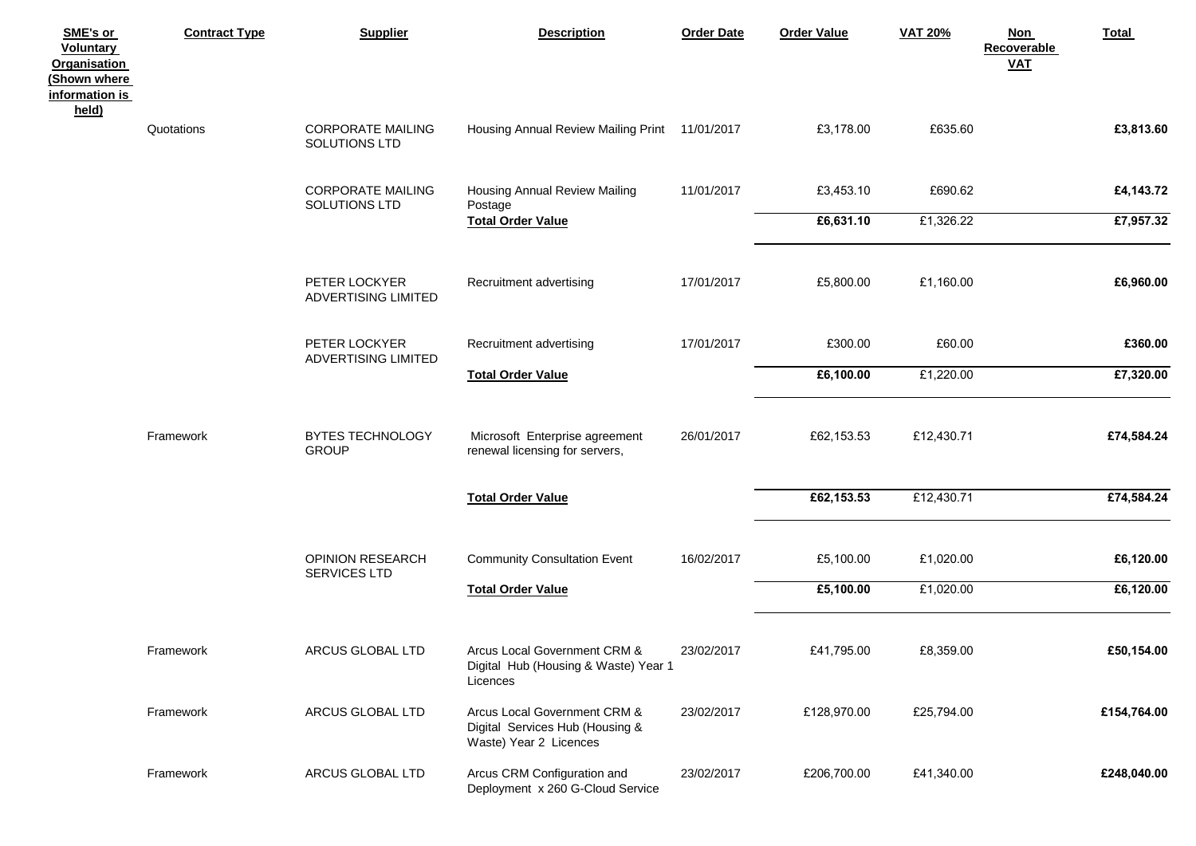| SME's or<br><b>Voluntary</b><br><b>Organisation</b><br>(Shown where<br><u>information is</u><br>held) | <b>Contract Type</b> | <b>Supplier</b>                           | <b>Description</b>                                                                        | <b>Order Date</b> | <b>Order Value</b> | <b>VAT 20%</b> | <b>Non</b><br>Total<br>Recoverable<br><b>VAT</b> |  |
|-------------------------------------------------------------------------------------------------------|----------------------|-------------------------------------------|-------------------------------------------------------------------------------------------|-------------------|--------------------|----------------|--------------------------------------------------|--|
|                                                                                                       | Quotations           | <b>CORPORATE MAILING</b><br>SOLUTIONS LTD | Housing Annual Review Mailing Print 11/01/2017                                            |                   | £3,178.00          | £635.60        | £3,813.60                                        |  |
|                                                                                                       |                      | <b>CORPORATE MAILING</b><br>SOLUTIONS LTD | Housing Annual Review Mailing<br>Postage                                                  | 11/01/2017        | £3,453.10          | £690.62        | £4,143.72                                        |  |
|                                                                                                       |                      |                                           | <b>Total Order Value</b>                                                                  |                   | £6,631.10          | £1,326.22      | £7,957.32                                        |  |
|                                                                                                       |                      | PETER LOCKYER<br>ADVERTISING LIMITED      | Recruitment advertising                                                                   | 17/01/2017        | £5,800.00          | £1,160.00      | £6,960.00                                        |  |
|                                                                                                       |                      | PETER LOCKYER<br>ADVERTISING LIMITED      | Recruitment advertising                                                                   | 17/01/2017        | £300.00            | £60.00         | £360.00                                          |  |
|                                                                                                       |                      |                                           | <b>Total Order Value</b>                                                                  |                   | £6,100.00          | £1,220.00      | £7,320.00                                        |  |
|                                                                                                       | Framework            | BYTES TECHNOLOGY<br><b>GROUP</b>          | Microsoft Enterprise agreement<br>renewal licensing for servers,                          | 26/01/2017        | £62,153.53         | £12,430.71     | £74,584.24                                       |  |
|                                                                                                       |                      |                                           | <b>Total Order Value</b>                                                                  |                   | £62,153.53         | £12,430.71     | £74,584.24                                       |  |
|                                                                                                       |                      | OPINION RESEARCH<br>SERVICES LTD          | <b>Community Consultation Event</b>                                                       | 16/02/2017        | £5,100.00          | £1,020.00      | £6,120.00                                        |  |
|                                                                                                       |                      |                                           | <b>Total Order Value</b>                                                                  |                   | £5,100.00          | £1,020.00      | £6,120.00                                        |  |
|                                                                                                       | Framework            | ARCUS GLOBAL LTD                          | Arcus Local Government CRM &<br>Digital Hub (Housing & Waste) Year 1<br>Licences          | 23/02/2017        | £41,795.00         | £8,359.00      | £50,154.00                                       |  |
|                                                                                                       | Framework            | ARCUS GLOBAL LTD                          | Arcus Local Government CRM &<br>Digital Services Hub (Housing &<br>Waste) Year 2 Licences | 23/02/2017        | £128,970.00        | £25,794.00     | £154,764.00                                      |  |
|                                                                                                       | Framework            | ARCUS GLOBAL LTD                          | Arcus CRM Configuration and<br>Deployment x 260 G-Cloud Service                           | 23/02/2017        | £206,700.00        | £41,340.00     | £248,040.00                                      |  |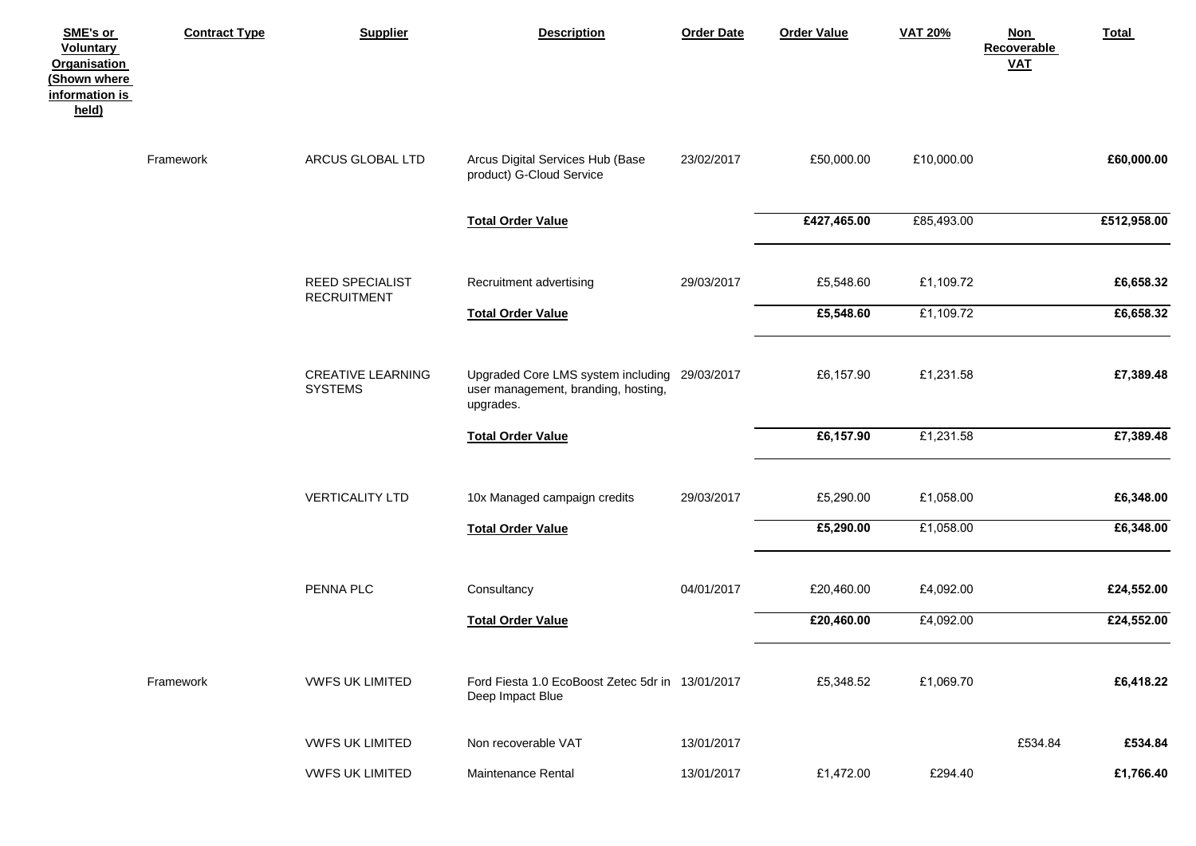| SME's or<br>Voluntary<br><b>Organisation</b><br>(Shown where<br>information is<br>held) | <b>Contract Type</b> | <b>Supplier</b>                              | <b>Description</b>                                                                                | <b>Order Date</b> | <b>Order Value</b>     | <b>VAT 20%</b>         | <b>Non</b><br>Recoverable<br>$VAL$ | <b>Total</b>           |
|-----------------------------------------------------------------------------------------|----------------------|----------------------------------------------|---------------------------------------------------------------------------------------------------|-------------------|------------------------|------------------------|------------------------------------|------------------------|
|                                                                                         | Framework            | ARCUS GLOBAL LTD                             | Arcus Digital Services Hub (Base<br>product) G-Cloud Service                                      | 23/02/2017        | £50,000.00             | £10,000.00             |                                    | £60,000.00             |
|                                                                                         |                      |                                              | <b>Total Order Value</b>                                                                          |                   | £427,465.00            | £85,493.00             |                                    | £512,958.00            |
|                                                                                         |                      | <b>REED SPECIALIST</b><br><b>RECRUITMENT</b> | Recruitment advertising                                                                           | 29/03/2017        | £5,548.60              | £1,109.72              |                                    | £6,658.32              |
|                                                                                         |                      |                                              | <b>Total Order Value</b>                                                                          |                   | £5,548.60              | £1,109.72              |                                    | £6,658.32              |
|                                                                                         |                      | <b>CREATIVE LEARNING</b><br><b>SYSTEMS</b>   | Upgraded Core LMS system including 29/03/2017<br>user management, branding, hosting,<br>upgrades. |                   | £6,157.90              | £1,231.58              |                                    | £7,389.48              |
|                                                                                         |                      |                                              | <b>Total Order Value</b>                                                                          |                   | £6,157.90              | £1,231.58              |                                    | £7,389.48              |
|                                                                                         |                      | <b>VERTICALITY LTD</b>                       | 10x Managed campaign credits<br><b>Total Order Value</b>                                          | 29/03/2017        | £5,290.00<br>£5,290.00 | £1,058.00<br>£1,058.00 |                                    | £6,348.00<br>£6,348.00 |
|                                                                                         |                      |                                              |                                                                                                   |                   |                        |                        |                                    |                        |
|                                                                                         |                      | PENNA PLC                                    | Consultancy                                                                                       | 04/01/2017        | £20,460.00             | £4,092.00              |                                    | £24,552.00             |
|                                                                                         |                      |                                              | <b>Total Order Value</b>                                                                          |                   | £20,460.00             | £4,092.00              |                                    | £24,552.00             |
|                                                                                         | Framework            | <b>VWFS UK LIMITED</b>                       | Ford Fiesta 1.0 EcoBoost Zetec 5dr in 13/01/2017<br>Deep Impact Blue                              |                   | £5,348.52              | £1,069.70              |                                    | £6,418.22              |
|                                                                                         |                      | <b>VWFS UK LIMITED</b>                       | Non recoverable VAT                                                                               | 13/01/2017        |                        |                        | £534.84                            | £534.84                |
|                                                                                         |                      | <b>VWFS UK LIMITED</b>                       | Maintenance Rental                                                                                | 13/01/2017        | £1,472.00              | £294.40                |                                    | £1,766.40              |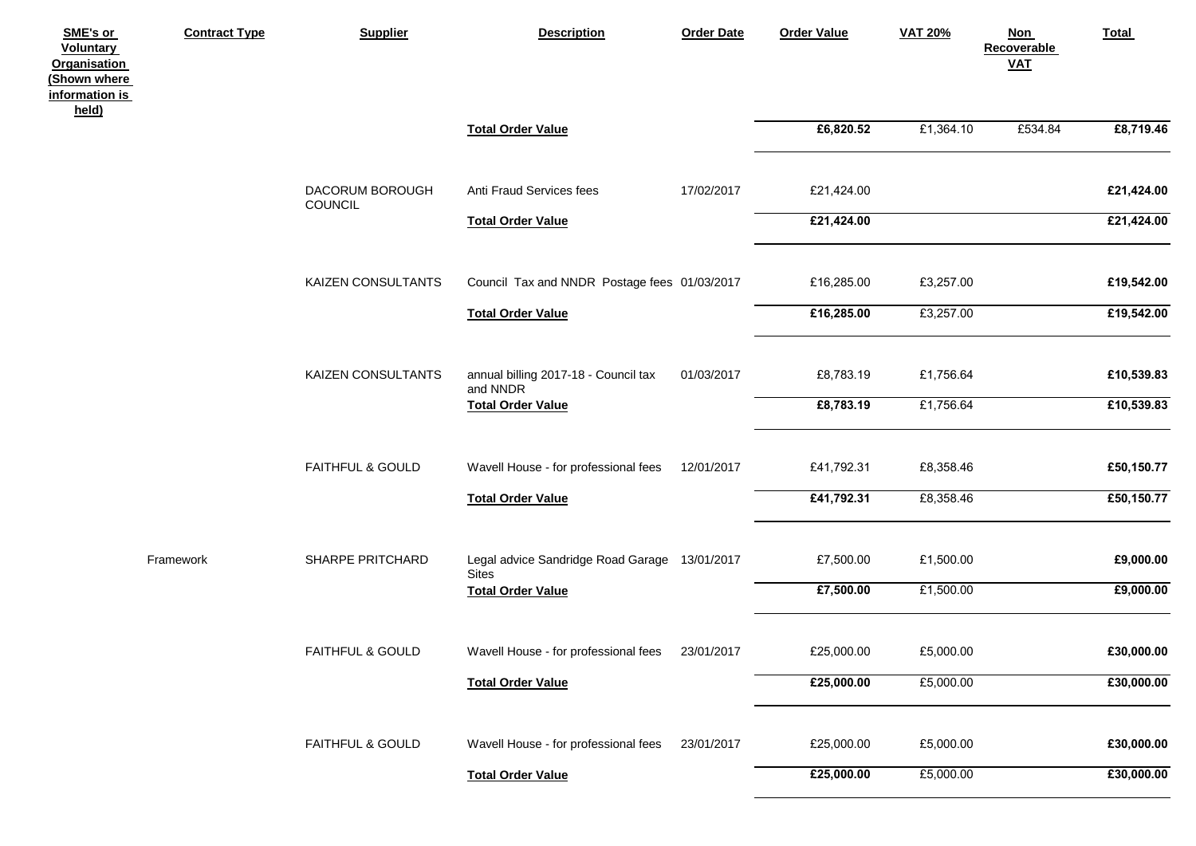| SME's or<br>Voluntary<br><b>Organisation</b><br>(Shown where<br>information is<br>held) | <b>Contract Type</b> | <b>Supplier</b>             | <b>Description</b>                                            | <b>Order Date</b> | <b>Order Value</b> | <b>VAT 20%</b> | <b>Non</b><br>Recoverable<br>$VAL$ | <b>Total</b> |
|-----------------------------------------------------------------------------------------|----------------------|-----------------------------|---------------------------------------------------------------|-------------------|--------------------|----------------|------------------------------------|--------------|
|                                                                                         |                      |                             | <b>Total Order Value</b>                                      |                   | £6,820.52          | £1,364.10      | £534.84                            | £8,719.46    |
|                                                                                         |                      | DACORUM BOROUGH<br>COUNCIL  | Anti Fraud Services fees                                      | 17/02/2017        | £21,424.00         |                |                                    | £21,424.00   |
|                                                                                         |                      |                             | <b>Total Order Value</b>                                      |                   | £21,424.00         |                |                                    | £21,424.00   |
|                                                                                         |                      | KAIZEN CONSULTANTS          | Council Tax and NNDR Postage fees 01/03/2017                  |                   | £16,285.00         | £3,257.00      |                                    | £19,542.00   |
|                                                                                         |                      |                             | <b>Total Order Value</b>                                      |                   | £16,285.00         | £3,257.00      |                                    | £19,542.00   |
|                                                                                         |                      | KAIZEN CONSULTANTS          | annual billing 2017-18 - Council tax<br>and NNDR              | 01/03/2017        | £8,783.19          | £1,756.64      |                                    | £10,539.83   |
|                                                                                         |                      |                             | <b>Total Order Value</b>                                      |                   | £8,783.19          | £1,756.64      |                                    | £10,539.83   |
|                                                                                         |                      | <b>FAITHFUL &amp; GOULD</b> | Wavell House - for professional fees                          | 12/01/2017        | £41,792.31         | £8,358.46      |                                    | £50,150.77   |
|                                                                                         |                      |                             | <b>Total Order Value</b>                                      |                   | £41,792.31         | £8,358.46      |                                    | £50,150.77   |
|                                                                                         | Framework            | SHARPE PRITCHARD            | Legal advice Sandridge Road Garage 13/01/2017<br><b>Sites</b> |                   | £7,500.00          | £1,500.00      |                                    | £9,000.00    |
|                                                                                         |                      |                             | <b>Total Order Value</b>                                      |                   | £7,500.00          | £1,500.00      |                                    | £9,000.00    |
|                                                                                         |                      | <b>FAITHFUL &amp; GOULD</b> | Wavell House - for professional fees                          | 23/01/2017        | £25,000.00         | £5,000.00      |                                    | £30,000.00   |
|                                                                                         |                      |                             | <b>Total Order Value</b>                                      |                   | £25,000.00         | £5,000.00      |                                    | £30,000.00   |
|                                                                                         |                      | FAITHFUL & GOULD            | Wavell House - for professional fees                          | 23/01/2017        | £25,000.00         | £5,000.00      |                                    | £30,000.00   |
|                                                                                         |                      |                             | <b>Total Order Value</b>                                      |                   | £25,000.00         | £5,000.00      |                                    | £30,000.00   |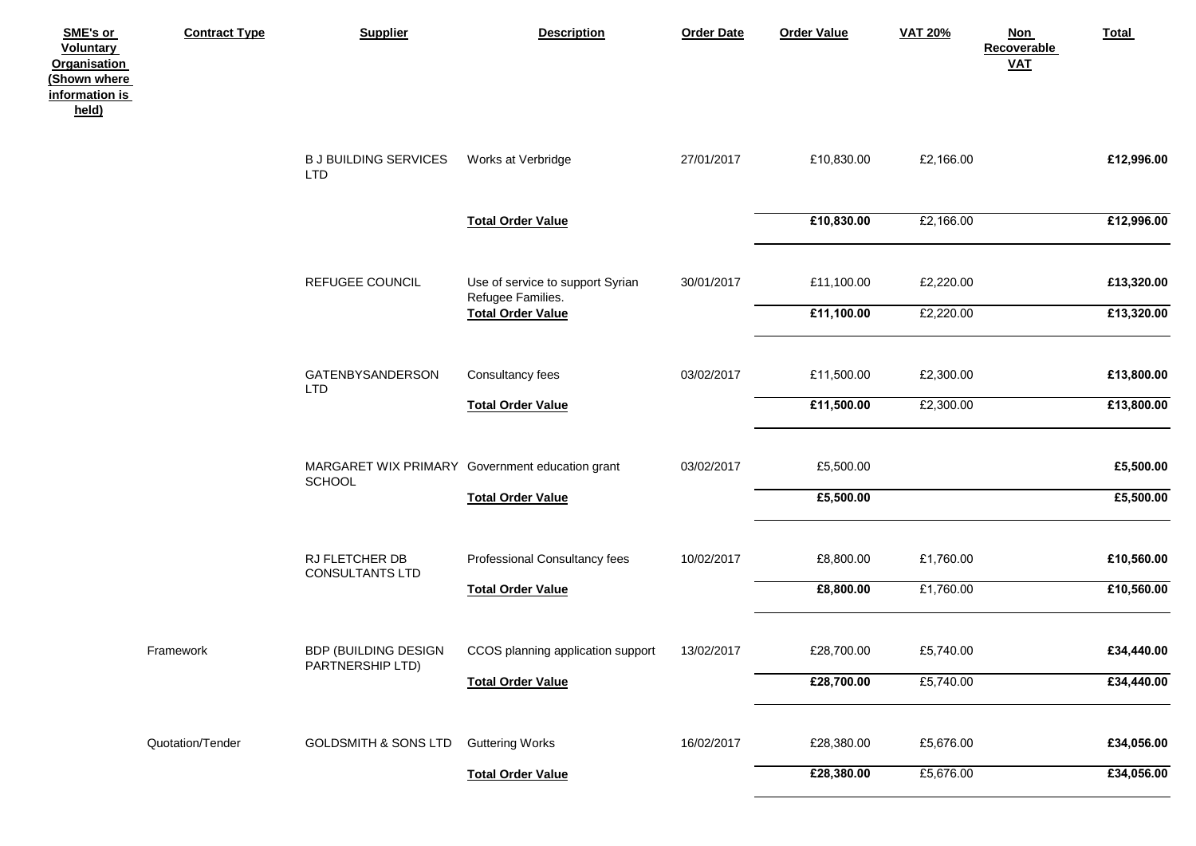| SME's or<br><b>Voluntary</b><br><b>Organisation</b><br>(Shown where<br>information is<br>held) | <b>Contract Type</b> | <b>Supplier</b>                                 | <b>Description</b>                                    | <b>Order Date</b> | <b>Order Value</b> | <b>VAT 20%</b> | <b>Non</b><br><b>Recoverable</b><br><b>VAT</b> | Total      |
|------------------------------------------------------------------------------------------------|----------------------|-------------------------------------------------|-------------------------------------------------------|-------------------|--------------------|----------------|------------------------------------------------|------------|
|                                                                                                |                      | <b>BJ BUILDING SERVICES</b><br><b>LTD</b>       | Works at Verbridge                                    | 27/01/2017        | £10,830.00         | £2,166.00      |                                                | £12,996.00 |
|                                                                                                |                      |                                                 | <b>Total Order Value</b>                              |                   | £10,830.00         | £2,166.00      |                                                | £12,996.00 |
|                                                                                                |                      | REFUGEE COUNCIL                                 | Use of service to support Syrian<br>Refugee Families. | 30/01/2017        | £11,100.00         | £2,220.00      |                                                | £13,320.00 |
|                                                                                                |                      |                                                 | <b>Total Order Value</b>                              |                   | £11,100.00         | £2,220.00      |                                                | £13,320.00 |
|                                                                                                |                      | <b>GATENBYSANDERSON</b><br><b>LTD</b>           | Consultancy fees                                      | 03/02/2017        | £11,500.00         | £2,300.00      |                                                | £13,800.00 |
|                                                                                                |                      |                                                 | <b>Total Order Value</b>                              |                   | £11,500.00         | £2,300.00      |                                                | £13,800.00 |
|                                                                                                |                      | SCHOOL                                          | MARGARET WIX PRIMARY Government education grant       | 03/02/2017        | £5,500.00          |                |                                                | £5,500.00  |
|                                                                                                |                      |                                                 | <b>Total Order Value</b>                              |                   | £5,500.00          |                |                                                | £5,500.00  |
|                                                                                                |                      | RJ FLETCHER DB<br><b>CONSULTANTS LTD</b>        | Professional Consultancy fees                         | 10/02/2017        | £8,800.00          | £1,760.00      |                                                | £10,560.00 |
|                                                                                                |                      |                                                 | <b>Total Order Value</b>                              |                   | £8,800.00          | £1,760.00      |                                                | £10,560.00 |
|                                                                                                | Framework            | <b>BDP (BUILDING DESIGN</b><br>PARTNERSHIP LTD) | CCOS planning application support                     | 13/02/2017        | £28,700.00         | £5,740.00      |                                                | £34,440.00 |
|                                                                                                |                      |                                                 | <b>Total Order Value</b>                              |                   | £28,700.00         | £5,740.00      |                                                | £34,440.00 |
|                                                                                                | Quotation/Tender     | <b>GOLDSMITH &amp; SONS LTD</b>                 | <b>Guttering Works</b>                                | 16/02/2017        | £28,380.00         | £5,676.00      |                                                | £34,056.00 |
|                                                                                                |                      |                                                 | <b>Total Order Value</b>                              |                   | £28,380.00         | £5,676.00      |                                                | £34,056.00 |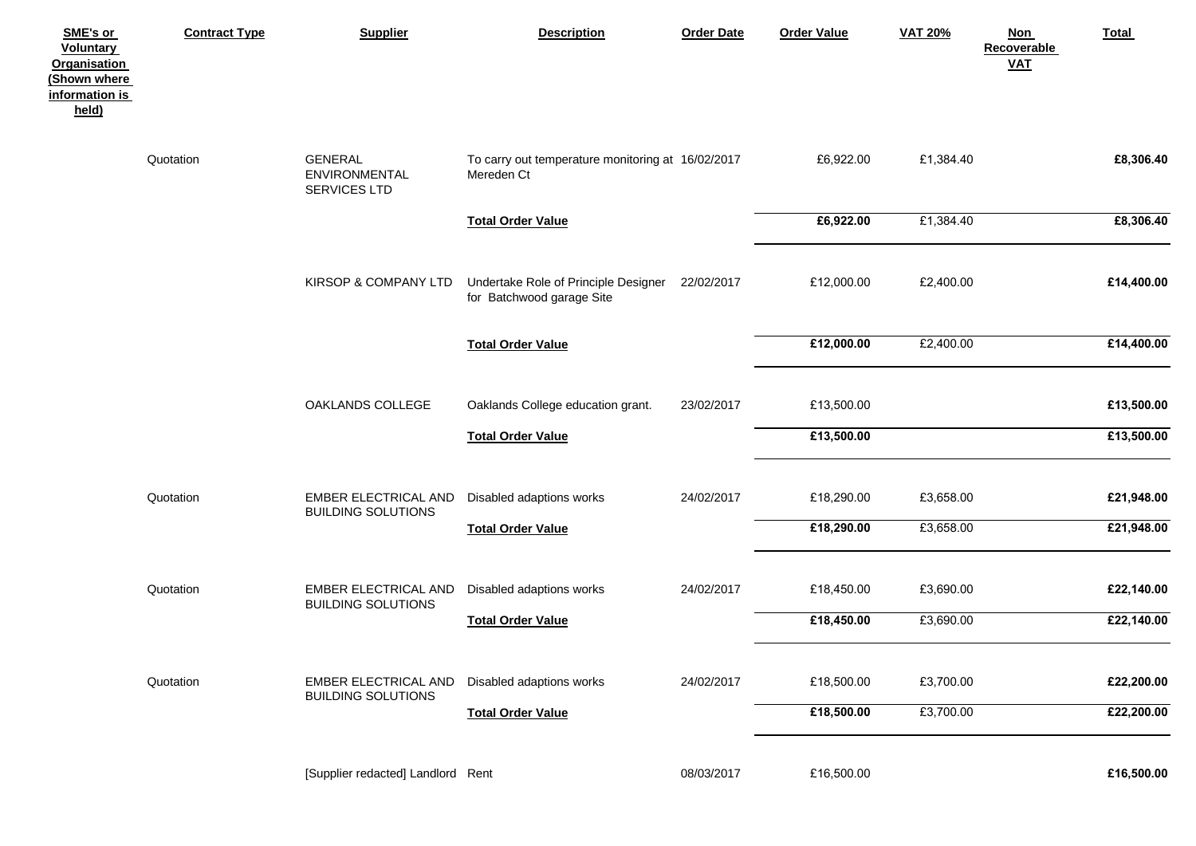| SME's or<br><b>Voluntary</b><br><b>Organisation</b><br>(Shown where<br>information is<br>held) | <b>Contract Type</b> | <b>Supplier</b>                                   | <b>Description</b>                                                | <b>Order Date</b> | <b>Order Value</b> | <b>VAT 20%</b> | <b>Non</b><br>Recoverable<br>$VAL$ | Total      |
|------------------------------------------------------------------------------------------------|----------------------|---------------------------------------------------|-------------------------------------------------------------------|-------------------|--------------------|----------------|------------------------------------|------------|
|                                                                                                | Quotation            | <b>GENERAL</b><br>ENVIRONMENTAL<br>SERVICES LTD   | To carry out temperature monitoring at 16/02/2017<br>Mereden Ct   |                   | £6,922.00          | £1,384.40      |                                    | £8,306.40  |
|                                                                                                |                      |                                                   | <b>Total Order Value</b>                                          |                   | £6,922.00          | £1,384.40      |                                    | £8,306.40  |
|                                                                                                |                      | KIRSOP & COMPANY LTD                              | Undertake Role of Principle Designer<br>for Batchwood garage Site | 22/02/2017        | £12,000.00         | £2,400.00      |                                    | £14,400.00 |
|                                                                                                |                      |                                                   | <b>Total Order Value</b>                                          |                   | £12,000.00         | £2,400.00      |                                    | £14,400.00 |
|                                                                                                |                      | OAKLANDS COLLEGE                                  | Oaklands College education grant.                                 | 23/02/2017        | £13,500.00         |                |                                    | £13,500.00 |
|                                                                                                |                      |                                                   | <b>Total Order Value</b>                                          |                   | £13,500.00         |                |                                    | £13,500.00 |
|                                                                                                | Quotation            | EMBER ELECTRICAL AND<br><b>BUILDING SOLUTIONS</b> | Disabled adaptions works                                          | 24/02/2017        | £18,290.00         | £3,658.00      |                                    | £21,948.00 |
|                                                                                                |                      |                                                   | <b>Total Order Value</b>                                          |                   | £18,290.00         | £3,658.00      |                                    | £21,948.00 |
|                                                                                                | Quotation            | EMBER ELECTRICAL AND<br><b>BUILDING SOLUTIONS</b> | Disabled adaptions works                                          | 24/02/2017        | £18,450.00         | £3,690.00      |                                    | £22,140.00 |
|                                                                                                |                      |                                                   | <b>Total Order Value</b>                                          |                   | £18,450.00         | £3,690.00      |                                    | £22,140.00 |
|                                                                                                | Quotation            | EMBER ELECTRICAL AND<br><b>BUILDING SOLUTIONS</b> | Disabled adaptions works                                          | 24/02/2017        | £18,500.00         | £3,700.00      |                                    | £22,200.00 |
|                                                                                                |                      |                                                   | <b>Total Order Value</b>                                          |                   | £18,500.00         | £3,700.00      |                                    | £22,200.00 |
|                                                                                                |                      | [Supplier redacted] Landlord Rent                 |                                                                   | 08/03/2017        | £16,500.00         |                |                                    | £16,500.00 |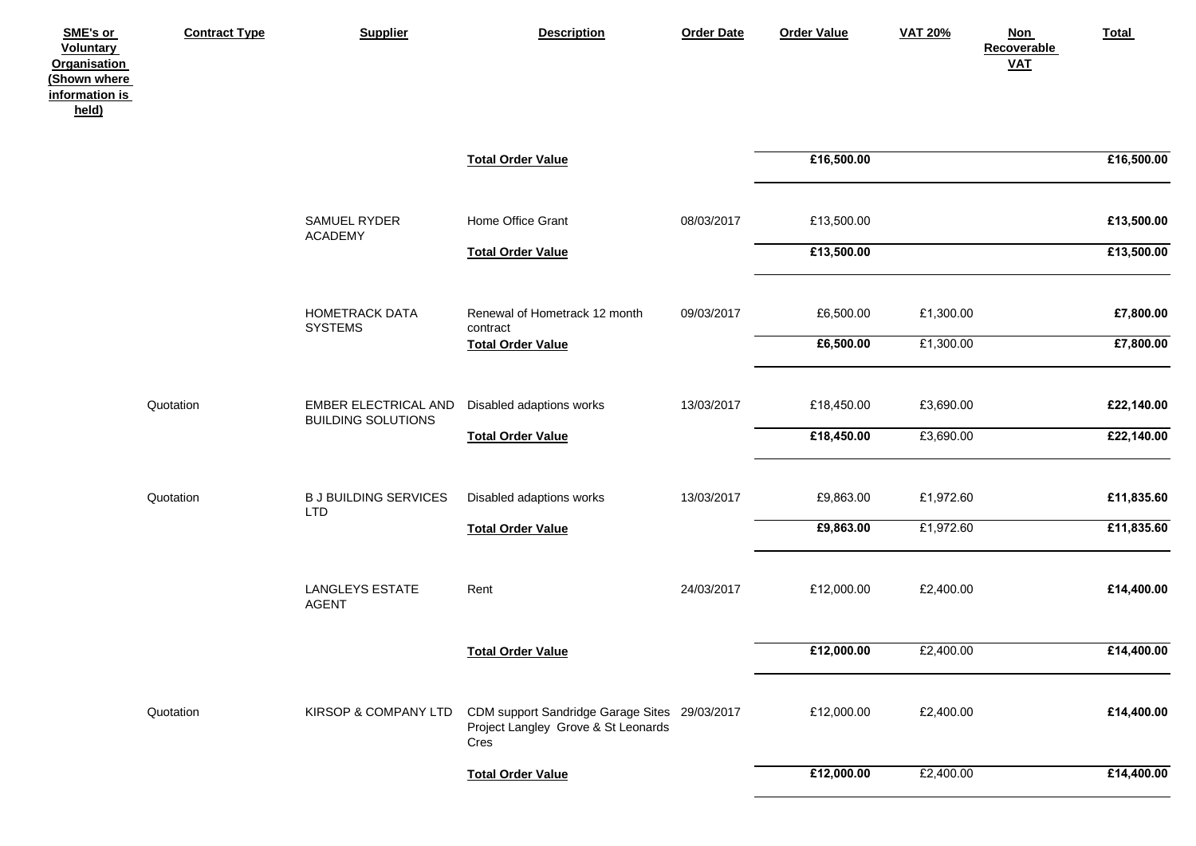| SME's or<br><b>Voluntary</b><br><b>Organisation</b><br>(Shown where<br>information is<br>held) | <b>Contract Type</b> | <b>Supplier</b>                                   | <b>Description</b>                                                                           | <b>Order Date</b> | <b>Order Value</b> | <b>VAT 20%</b> | <b>Non</b><br>Recoverable<br>$VAL$ | <b>Total</b> |
|------------------------------------------------------------------------------------------------|----------------------|---------------------------------------------------|----------------------------------------------------------------------------------------------|-------------------|--------------------|----------------|------------------------------------|--------------|
|                                                                                                |                      |                                                   | <b>Total Order Value</b>                                                                     |                   | £16,500.00         |                |                                    | £16,500.00   |
|                                                                                                |                      | SAMUEL RYDER<br><b>ACADEMY</b>                    | Home Office Grant                                                                            | 08/03/2017        | £13,500.00         |                |                                    | £13,500.00   |
|                                                                                                |                      |                                                   | <b>Total Order Value</b>                                                                     |                   | £13,500.00         |                |                                    | £13,500.00   |
|                                                                                                |                      | HOMETRACK DATA<br><b>SYSTEMS</b>                  | Renewal of Hometrack 12 month<br>contract                                                    | 09/03/2017        | £6,500.00          | £1,300.00      |                                    | £7,800.00    |
|                                                                                                |                      |                                                   | <b>Total Order Value</b>                                                                     |                   | £6,500.00          | £1,300.00      |                                    | £7,800.00    |
|                                                                                                | Quotation            | EMBER ELECTRICAL AND<br><b>BUILDING SOLUTIONS</b> | Disabled adaptions works                                                                     | 13/03/2017        | £18,450.00         | £3,690.00      |                                    | £22,140.00   |
|                                                                                                |                      |                                                   | <b>Total Order Value</b>                                                                     |                   | £18,450.00         | £3,690.00      |                                    | £22,140.00   |
|                                                                                                | Quotation            | <b>B J BUILDING SERVICES</b><br><b>LTD</b>        | Disabled adaptions works                                                                     | 13/03/2017        | £9,863.00          | £1,972.60      |                                    | £11,835.60   |
|                                                                                                |                      |                                                   | <b>Total Order Value</b>                                                                     |                   | £9,863.00          | £1,972.60      |                                    | £11,835.60   |
|                                                                                                |                      | <b>LANGLEYS ESTATE</b><br><b>AGENT</b>            | Rent                                                                                         | 24/03/2017        | £12,000.00         | £2,400.00      |                                    | £14,400.00   |
|                                                                                                |                      |                                                   | <b>Total Order Value</b>                                                                     |                   | £12,000.00         | £2,400.00      |                                    | £14,400.00   |
|                                                                                                | Quotation            | KIRSOP & COMPANY LTD                              | CDM support Sandridge Garage Sites 29/03/2017<br>Project Langley Grove & St Leonards<br>Cres |                   | £12,000.00         | £2,400.00      |                                    | £14,400.00   |
|                                                                                                |                      |                                                   | <b>Total Order Value</b>                                                                     |                   | £12,000.00         | £2,400.00      |                                    | £14,400.00   |
|                                                                                                |                      |                                                   |                                                                                              |                   |                    |                |                                    |              |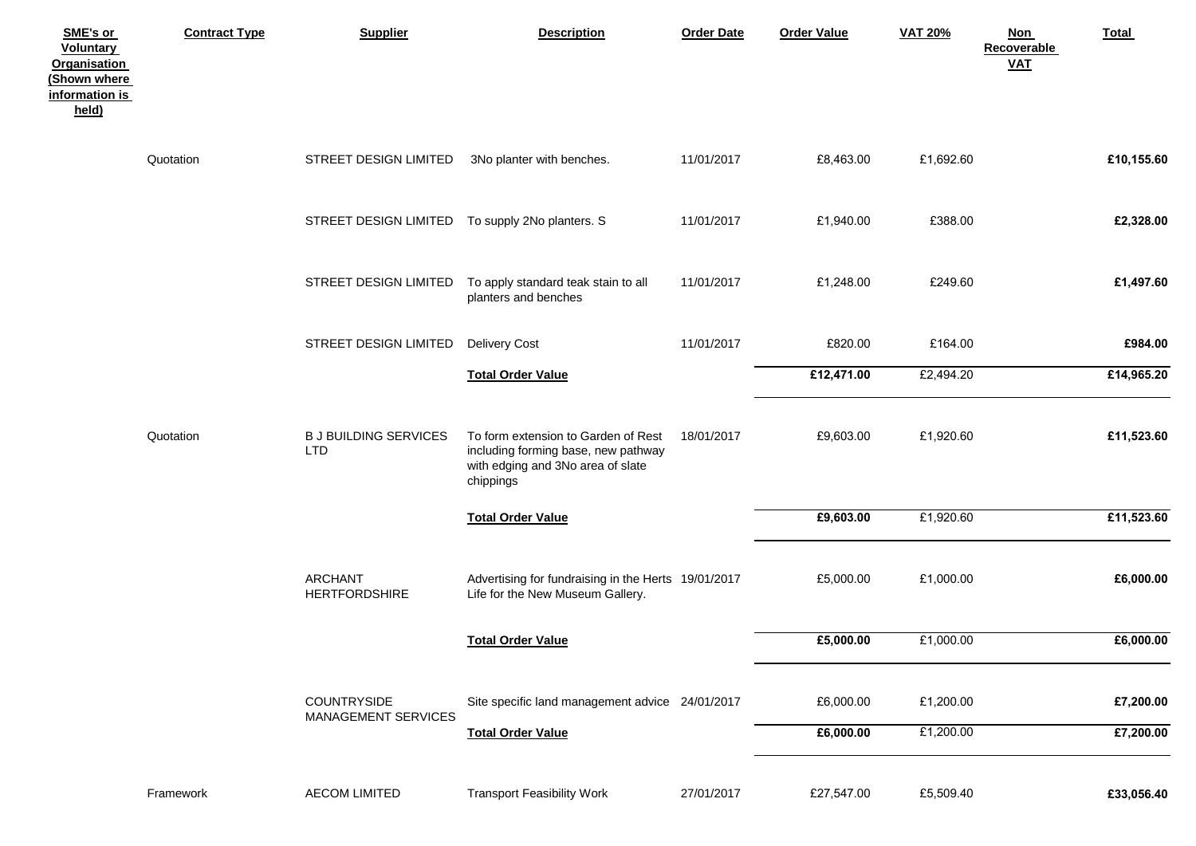| SME's or<br><b>Voluntary</b><br><b>Organisation</b><br>(Shown where<br>information is<br>held) | <b>Contract Type</b> | <b>Supplier</b>                                 | <b>Description</b>                                                                                                           | <b>Order Date</b> | <b>Order Value</b> | <b>VAT 20%</b> | <b>Non</b><br>Recoverable<br>$VAL$ | Total      |
|------------------------------------------------------------------------------------------------|----------------------|-------------------------------------------------|------------------------------------------------------------------------------------------------------------------------------|-------------------|--------------------|----------------|------------------------------------|------------|
|                                                                                                | Quotation            | STREET DESIGN LIMITED                           | 3No planter with benches.                                                                                                    | 11/01/2017        | £8,463.00          | £1,692.60      |                                    | £10,155.60 |
|                                                                                                |                      | STREET DESIGN LIMITED To supply 2No planters. S |                                                                                                                              | 11/01/2017        | £1,940.00          | £388.00        |                                    | £2,328.00  |
|                                                                                                |                      | STREET DESIGN LIMITED                           | To apply standard teak stain to all<br>planters and benches                                                                  | 11/01/2017        | £1,248.00          | £249.60        |                                    | £1,497.60  |
|                                                                                                |                      | STREET DESIGN LIMITED                           | <b>Delivery Cost</b>                                                                                                         | 11/01/2017        | £820.00            | £164.00        |                                    | £984.00    |
|                                                                                                |                      |                                                 | <b>Total Order Value</b>                                                                                                     |                   | £12,471.00         | £2,494.20      |                                    | £14,965.20 |
|                                                                                                | Quotation            | <b>B J BUILDING SERVICES</b><br><b>LTD</b>      | To form extension to Garden of Rest<br>including forming base, new pathway<br>with edging and 3No area of slate<br>chippings | 18/01/2017        | £9,603.00          | £1,920.60      |                                    | £11,523.60 |
|                                                                                                |                      |                                                 | <b>Total Order Value</b>                                                                                                     |                   | £9,603.00          | £1,920.60      |                                    | £11,523.60 |
|                                                                                                |                      | <b>ARCHANT</b><br><b>HERTFORDSHIRE</b>          | Advertising for fundraising in the Herts 19/01/2017<br>Life for the New Museum Gallery.                                      |                   | £5,000.00          | £1,000.00      |                                    | £6,000.00  |
|                                                                                                |                      |                                                 | <b>Total Order Value</b>                                                                                                     |                   | £5,000.00          | £1,000.00      |                                    | £6,000.00  |
|                                                                                                |                      | COUNTRYSIDE<br><b>MANAGEMENT SERVICES</b>       | Site specific land management advice 24/01/2017                                                                              |                   | £6,000.00          | £1,200.00      |                                    | £7,200.00  |
|                                                                                                |                      |                                                 | <b>Total Order Value</b>                                                                                                     |                   | £6,000.00          | £1,200.00      |                                    | £7,200.00  |
|                                                                                                | Framework            | <b>AECOM LIMITED</b>                            | <b>Transport Feasibility Work</b>                                                                                            | 27/01/2017        | £27,547.00         | £5,509.40      |                                    | £33,056.40 |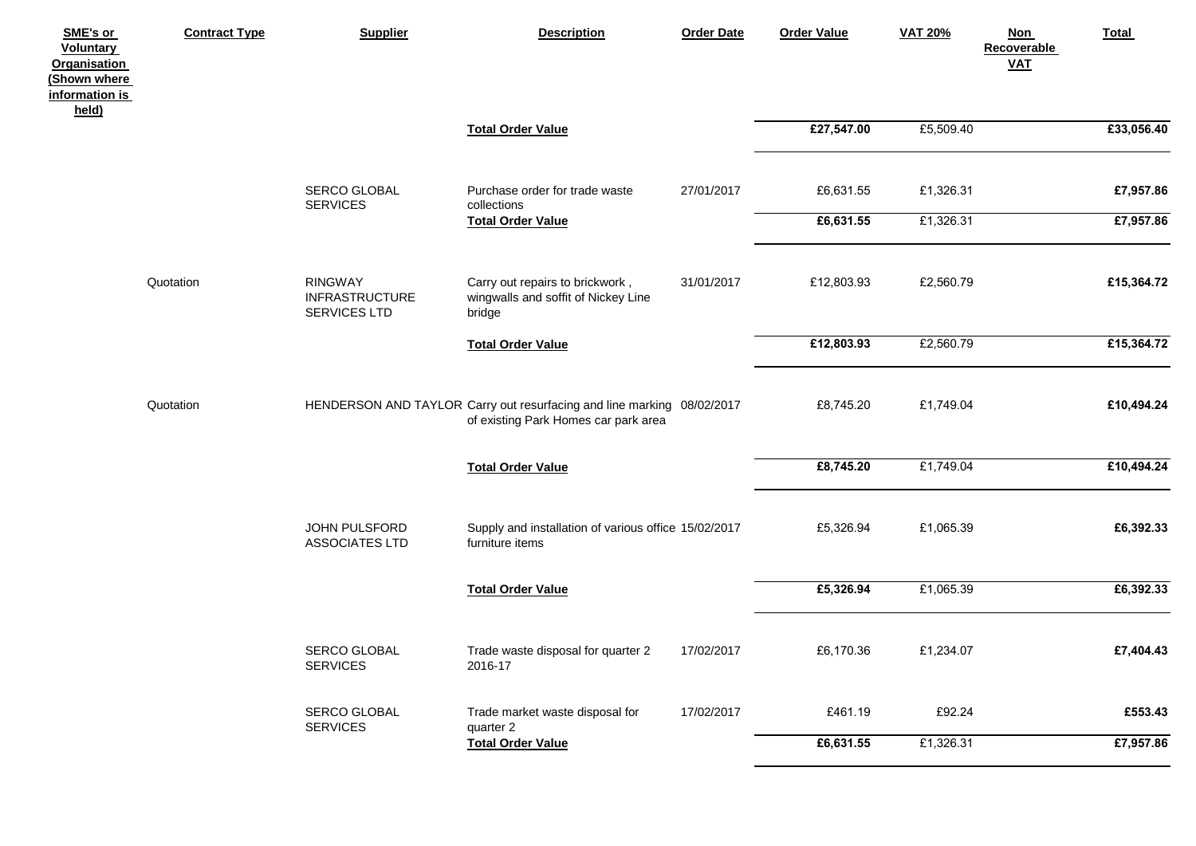| SME's or<br><b>Voluntary</b><br><b>Organisation</b><br>(Shown where<br>information is<br>held) | <b>Contract Type</b> | <b>Supplier</b>                                         | <b>Description</b>                                                                                             | <b>Order Date</b> | <b>Order Value</b>     | <b>VAT 20%</b>         | <b>Non</b><br><b>Recoverable</b><br><b>VAT</b> | Total                  |
|------------------------------------------------------------------------------------------------|----------------------|---------------------------------------------------------|----------------------------------------------------------------------------------------------------------------|-------------------|------------------------|------------------------|------------------------------------------------|------------------------|
|                                                                                                |                      |                                                         | <b>Total Order Value</b>                                                                                       |                   | £27,547.00             | £5,509.40              |                                                | £33,056.40             |
|                                                                                                |                      | SERCO GLOBAL<br><b>SERVICES</b>                         | Purchase order for trade waste<br>collections<br><b>Total Order Value</b>                                      | 27/01/2017        | £6,631.55<br>£6,631.55 | £1,326.31<br>£1,326.31 |                                                | £7,957.86<br>£7,957.86 |
|                                                                                                | Quotation            | <b>RINGWAY</b><br><b>INFRASTRUCTURE</b><br>SERVICES LTD | Carry out repairs to brickwork,<br>wingwalls and soffit of Nickey Line<br>bridge                               | 31/01/2017        | £12,803.93             | £2,560.79              |                                                | £15,364.72             |
|                                                                                                |                      |                                                         | <b>Total Order Value</b>                                                                                       |                   | £12,803.93             | £2,560.79              |                                                | £15,364.72             |
|                                                                                                | Quotation            |                                                         | HENDERSON AND TAYLOR Carry out resurfacing and line marking 08/02/2017<br>of existing Park Homes car park area |                   | £8,745.20              | £1,749.04              |                                                | £10,494.24             |
|                                                                                                |                      |                                                         | <b>Total Order Value</b>                                                                                       |                   | £8,745.20              | £1,749.04              |                                                | £10,494.24             |
|                                                                                                |                      | JOHN PULSFORD<br><b>ASSOCIATES LTD</b>                  | Supply and installation of various office 15/02/2017<br>furniture items                                        |                   | £5,326.94              | £1,065.39              |                                                | £6,392.33              |
|                                                                                                |                      |                                                         | <b>Total Order Value</b>                                                                                       |                   | £5,326.94              | £1,065.39              |                                                | £6,392.33              |
|                                                                                                |                      | <b>SERCO GLOBAL</b><br><b>SERVICES</b>                  | Trade waste disposal for quarter 2<br>2016-17                                                                  | 17/02/2017        | £6,170.36              | £1,234.07              |                                                | £7,404.43              |
|                                                                                                |                      | SERCO GLOBAL<br><b>SERVICES</b>                         | Trade market waste disposal for<br>quarter 2                                                                   | 17/02/2017        | £461.19                | £92.24                 |                                                | £553.43                |
|                                                                                                |                      |                                                         | <b>Total Order Value</b>                                                                                       |                   | £6,631.55              | £1,326.31              |                                                | £7,957.86              |
|                                                                                                |                      |                                                         |                                                                                                                |                   |                        |                        |                                                |                        |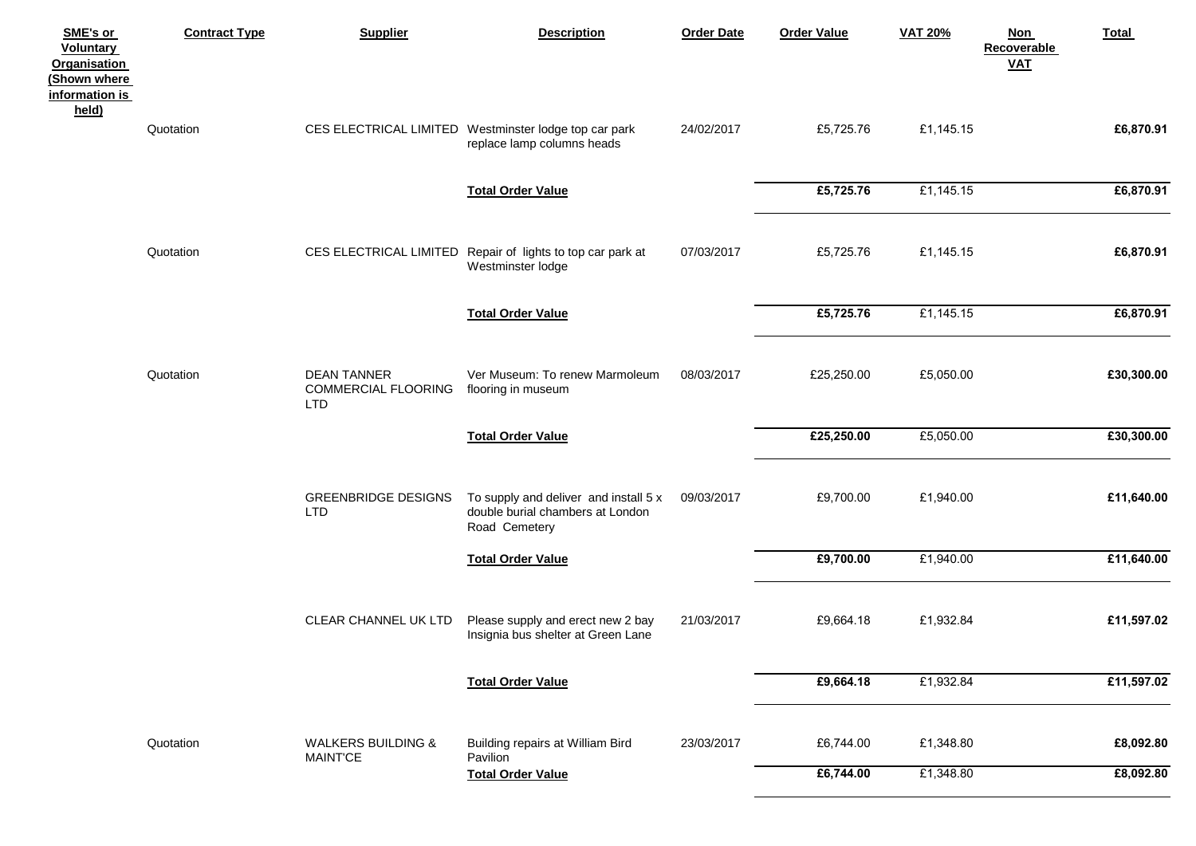| SME's or<br><b>Voluntary</b><br><b>Organisation</b><br>(Shown where<br>information is<br>held) | <b>Contract Type</b> | <b>Supplier</b>                                         | <b>Description</b>                                                                         | <b>Order Date</b> | <b>Order Value</b> | <b>VAT 20%</b> | <b>Non</b><br>Recoverable<br>$VAL$ | Total      |
|------------------------------------------------------------------------------------------------|----------------------|---------------------------------------------------------|--------------------------------------------------------------------------------------------|-------------------|--------------------|----------------|------------------------------------|------------|
|                                                                                                | Quotation            |                                                         | CES ELECTRICAL LIMITED Westminster lodge top car park<br>replace lamp columns heads        | 24/02/2017        | £5,725.76          | £1,145.15      |                                    | £6,870.91  |
|                                                                                                |                      |                                                         | <b>Total Order Value</b>                                                                   |                   | £5,725.76          | £1,145.15      |                                    | £6,870.91  |
|                                                                                                | Quotation            |                                                         | CES ELECTRICAL LIMITED Repair of lights to top car park at<br>Westminster lodge            | 07/03/2017        | £5,725.76          | £1,145.15      |                                    | £6,870.91  |
|                                                                                                |                      |                                                         | <b>Total Order Value</b>                                                                   |                   | £5,725.76          | £1,145.15      |                                    | £6,870.91  |
|                                                                                                | Quotation            | <b>DEAN TANNER</b><br>COMMERCIAL FLOORING<br><b>LTD</b> | Ver Museum: To renew Marmoleum<br>flooring in museum                                       | 08/03/2017        | £25,250.00         | £5,050.00      |                                    | £30,300.00 |
|                                                                                                |                      |                                                         | <b>Total Order Value</b>                                                                   |                   | £25,250.00         | £5,050.00      |                                    | £30,300.00 |
|                                                                                                |                      | <b>GREENBRIDGE DESIGNS</b><br><b>LTD</b>                | To supply and deliver and install 5 x<br>double burial chambers at London<br>Road Cemetery | 09/03/2017        | £9,700.00          | £1,940.00      |                                    | £11,640.00 |
|                                                                                                |                      |                                                         | <b>Total Order Value</b>                                                                   |                   | £9,700.00          | £1,940.00      |                                    | £11,640.00 |
|                                                                                                |                      | CLEAR CHANNEL UK LTD                                    | Please supply and erect new 2 bay<br>Insignia bus shelter at Green Lane                    | 21/03/2017        | £9,664.18          | £1,932.84      |                                    | £11,597.02 |
|                                                                                                |                      |                                                         | <b>Total Order Value</b>                                                                   |                   | £9,664.18          | £1,932.84      |                                    | £11,597.02 |
|                                                                                                | Quotation            | <b>WALKERS BUILDING &amp;</b><br><b>MAINT'CE</b>        | Building repairs at William Bird<br>Pavilion                                               | 23/03/2017        | £6,744.00          | £1,348.80      |                                    | £8,092.80  |
|                                                                                                |                      |                                                         | <b>Total Order Value</b>                                                                   |                   | £6,744.00          | £1,348.80      |                                    | £8,092.80  |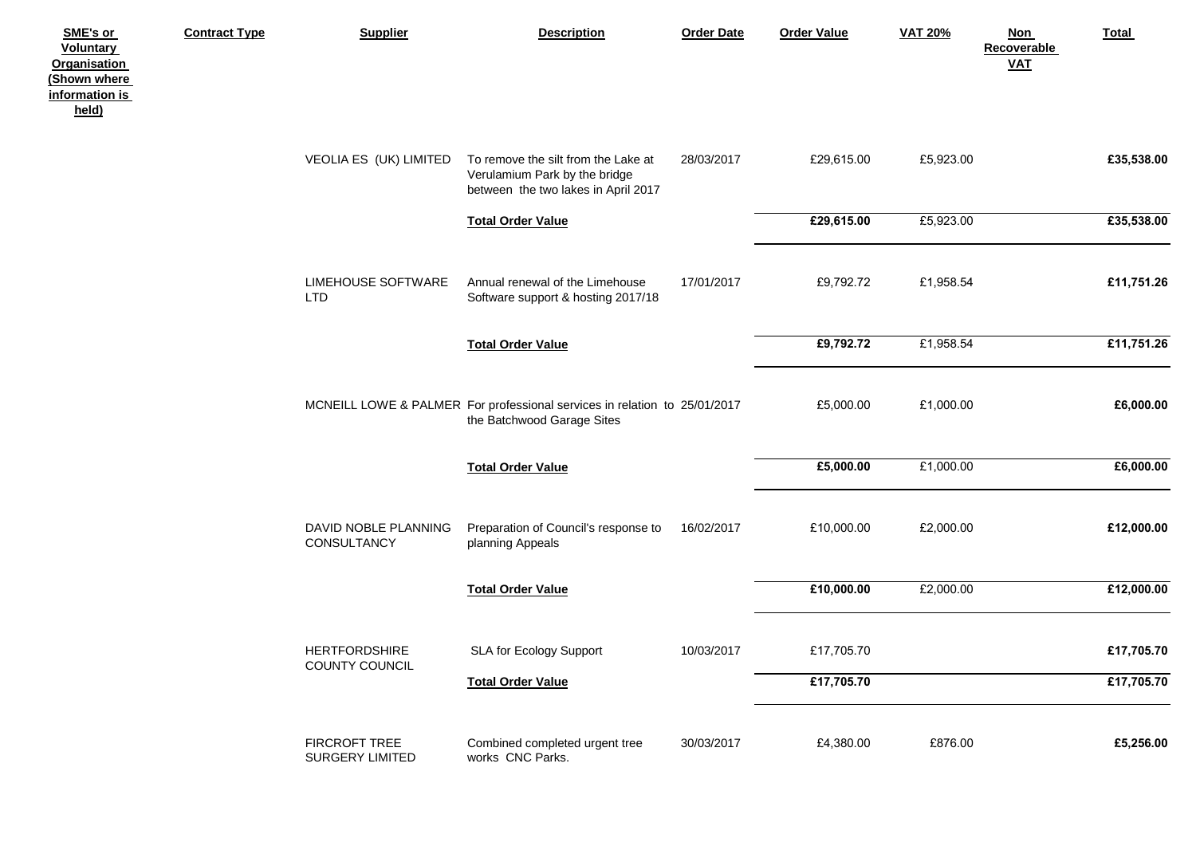| SME's or<br><b>Voluntary</b><br><b>Organisation</b><br>(Shown where<br>information is<br>held) | <b>Contract Type</b> | <b>Supplier</b>                         | <b>Description</b>                                                                                          | <b>Order Date</b> | <b>Order Value</b> | <b>VAT 20%</b> | <b>Non</b><br>Recoverable<br>$VAL$ | Total      |
|------------------------------------------------------------------------------------------------|----------------------|-----------------------------------------|-------------------------------------------------------------------------------------------------------------|-------------------|--------------------|----------------|------------------------------------|------------|
|                                                                                                |                      | VEOLIA ES (UK) LIMITED                  | To remove the silt from the Lake at<br>Verulamium Park by the bridge<br>between the two lakes in April 2017 | 28/03/2017        | £29,615.00         | £5,923.00      |                                    | £35,538.00 |
|                                                                                                |                      |                                         | <b>Total Order Value</b>                                                                                    |                   | £29,615.00         | £5,923.00      |                                    | £35,538.00 |
|                                                                                                |                      | <b>LIMEHOUSE SOFTWARE</b><br><b>LTD</b> | Annual renewal of the Limehouse<br>Software support & hosting 2017/18                                       | 17/01/2017        | £9,792.72          | £1,958.54      |                                    | £11,751.26 |
|                                                                                                |                      |                                         | <b>Total Order Value</b>                                                                                    |                   | £9,792.72          | £1,958.54      |                                    | £11,751.26 |
|                                                                                                |                      |                                         | MCNEILL LOWE & PALMER For professional services in relation to 25/01/2017<br>the Batchwood Garage Sites     |                   | £5,000.00          | £1,000.00      |                                    | £6,000.00  |
|                                                                                                |                      |                                         | <b>Total Order Value</b>                                                                                    |                   | £5,000.00          | £1,000.00      |                                    | £6,000.00  |
|                                                                                                |                      | DAVID NOBLE PLANNING<br>CONSULTANCY     | Preparation of Council's response to<br>planning Appeals                                                    | 16/02/2017        | £10,000.00         | £2,000.00      |                                    | £12,000.00 |
|                                                                                                |                      |                                         | <b>Total Order Value</b>                                                                                    |                   | £10,000.00         | £2,000.00      |                                    | £12,000.00 |
|                                                                                                |                      | <b>HERTFORDSHIRE</b><br>COUNTY COUNCIL  | SLA for Ecology Support                                                                                     | 10/03/2017        | £17,705.70         |                |                                    | £17,705.70 |
|                                                                                                |                      |                                         | <b>Total Order Value</b>                                                                                    |                   | £17,705.70         |                |                                    | £17,705.70 |
|                                                                                                |                      | FIRCROFT TREE<br>SURGERY LIMITED        | Combined completed urgent tree<br>works CNC Parks.                                                          | 30/03/2017        | £4,380.00          | £876.00        |                                    | £5,256.00  |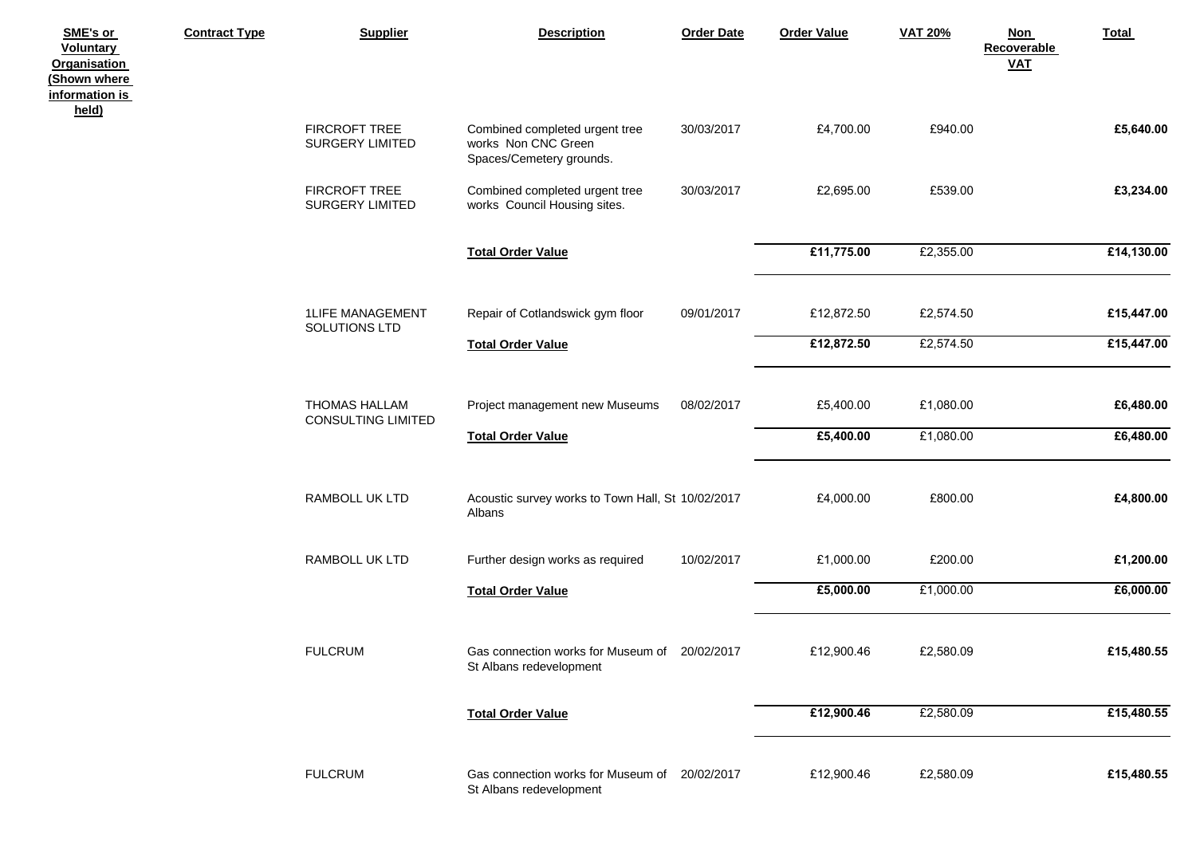| SME's or<br><b>Voluntary</b><br><b>Organisation</b><br>(Shown where<br>information is | <b>Contract Type</b> | <b>Supplier</b>                                | <b>Description</b>                                                                | <b>Order Date</b> | <b>Order Value</b> | <b>VAT 20%</b> | Non<br>Total<br>Recoverable<br>$VAL$ |
|---------------------------------------------------------------------------------------|----------------------|------------------------------------------------|-----------------------------------------------------------------------------------|-------------------|--------------------|----------------|--------------------------------------|
| held)                                                                                 |                      | <b>FIRCROFT TREE</b><br><b>SURGERY LIMITED</b> | Combined completed urgent tree<br>works Non CNC Green<br>Spaces/Cemetery grounds. | 30/03/2017        | £4,700.00          | £940.00        | £5,640.00                            |
|                                                                                       |                      | FIRCROFT TREE<br><b>SURGERY LIMITED</b>        | Combined completed urgent tree<br>works Council Housing sites.                    | 30/03/2017        | £2,695.00          | £539.00        | £3,234.00                            |
|                                                                                       |                      |                                                | <b>Total Order Value</b>                                                          |                   | £11,775.00         | £2,355.00      | £14,130.00                           |
|                                                                                       |                      | <b>1LIFE MANAGEMENT</b><br>SOLUTIONS LTD       | Repair of Cotlandswick gym floor                                                  | 09/01/2017        | £12,872.50         | £2,574.50      | £15,447.00                           |
|                                                                                       |                      |                                                | <b>Total Order Value</b>                                                          |                   | £12,872.50         | £2,574.50      | £15,447.00                           |
|                                                                                       |                      | THOMAS HALLAM<br><b>CONSULTING LIMITED</b>     | Project management new Museums                                                    | 08/02/2017        | £5,400.00          | £1,080.00      | £6,480.00                            |
|                                                                                       |                      |                                                | <b>Total Order Value</b>                                                          |                   | £5,400.00          | £1,080.00      | £6,480.00                            |
|                                                                                       |                      | RAMBOLL UK LTD                                 | Acoustic survey works to Town Hall, St 10/02/2017<br>Albans                       |                   | £4,000.00          | £800.00        | £4,800.00                            |
|                                                                                       |                      | RAMBOLL UK LTD                                 | Further design works as required                                                  | 10/02/2017        | £1,000.00          | £200.00        | £1,200.00                            |
|                                                                                       |                      |                                                | <b>Total Order Value</b>                                                          |                   | £5,000.00          | £1,000.00      | £6,000.00                            |
|                                                                                       |                      | <b>FULCRUM</b>                                 | Gas connection works for Museum of 20/02/2017<br>St Albans redevelopment          |                   | £12,900.46         | £2,580.09      | £15,480.55                           |
|                                                                                       |                      |                                                | <b>Total Order Value</b>                                                          |                   | £12,900.46         | £2,580.09      | £15,480.55                           |
|                                                                                       |                      | <b>FULCRUM</b>                                 | Gas connection works for Museum of 20/02/2017<br>St Albans redevelopment          |                   | £12,900.46         | £2,580.09      | £15,480.55                           |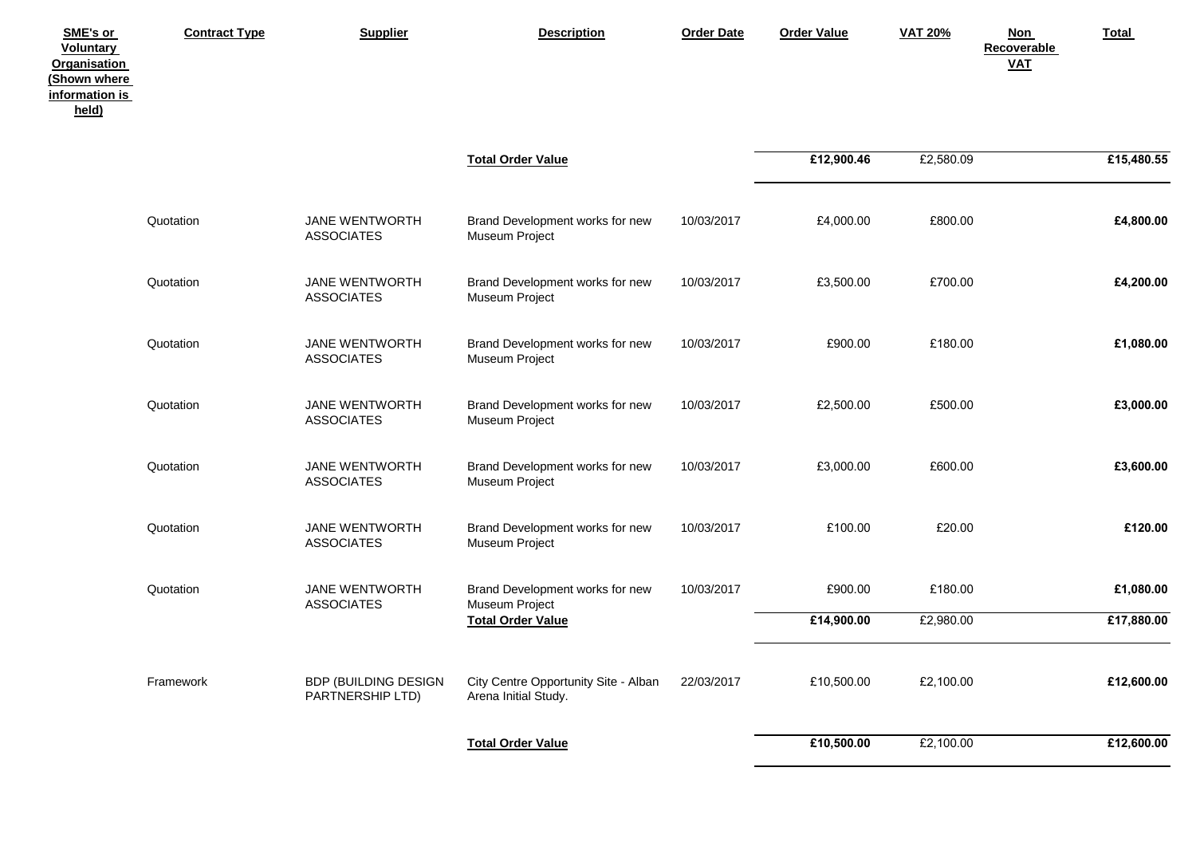| SME's or<br><b>Voluntary</b><br><b>Organisation</b><br>(Shown where<br>information is<br>held) | <b>Contract Type</b> | <b>Supplier</b>                          | <b>Description</b>                                           | <b>Order Date</b> | <b>Order Value</b> | <b>VAT 20%</b> | <b>Non</b><br>Recoverable<br><b>VAT</b> | <b>Total</b> |
|------------------------------------------------------------------------------------------------|----------------------|------------------------------------------|--------------------------------------------------------------|-------------------|--------------------|----------------|-----------------------------------------|--------------|
|                                                                                                |                      |                                          | <b>Total Order Value</b>                                     |                   | £12,900.46         | £2,580.09      |                                         | £15,480.55   |
|                                                                                                | Quotation            | JANE WENTWORTH<br><b>ASSOCIATES</b>      | Brand Development works for new<br>Museum Project            | 10/03/2017        | £4,000.00          | £800.00        |                                         | £4,800.00    |
|                                                                                                | Quotation            | JANE WENTWORTH<br><b>ASSOCIATES</b>      | Brand Development works for new<br>Museum Project            | 10/03/2017        | £3,500.00          | £700.00        |                                         | £4,200.00    |
|                                                                                                | Quotation            | JANE WENTWORTH<br><b>ASSOCIATES</b>      | Brand Development works for new<br>Museum Project            | 10/03/2017        | £900.00            | £180.00        |                                         | £1,080.00    |
|                                                                                                | Quotation            | JANE WENTWORTH<br><b>ASSOCIATES</b>      | Brand Development works for new<br>Museum Project            | 10/03/2017        | £2,500.00          | £500.00        |                                         | £3,000.00    |
|                                                                                                | Quotation            | JANE WENTWORTH<br><b>ASSOCIATES</b>      | Brand Development works for new<br>Museum Project            | 10/03/2017        | £3,000.00          | £600.00        |                                         | £3,600.00    |
|                                                                                                | Quotation            | JANE WENTWORTH<br><b>ASSOCIATES</b>      | Brand Development works for new<br>Museum Project            | 10/03/2017        | £100.00            | £20.00         |                                         | £120.00      |
|                                                                                                | Quotation            | JANE WENTWORTH<br><b>ASSOCIATES</b>      | Brand Development works for new                              | 10/03/2017        | £900.00            | £180.00        |                                         | £1,080.00    |
|                                                                                                |                      |                                          | Museum Project<br><b>Total Order Value</b>                   |                   | £14,900.00         | £2,980.00      |                                         | £17,880.00   |
|                                                                                                | Framework            | BDP (BUILDING DESIGN<br>PARTNERSHIP LTD) | City Centre Opportunity Site - Alban<br>Arena Initial Study. | 22/03/2017        | £10,500.00         | £2,100.00      |                                         | £12,600.00   |
|                                                                                                |                      |                                          | <b>Total Order Value</b>                                     |                   | £10,500.00         | £2,100.00      |                                         | £12,600.00   |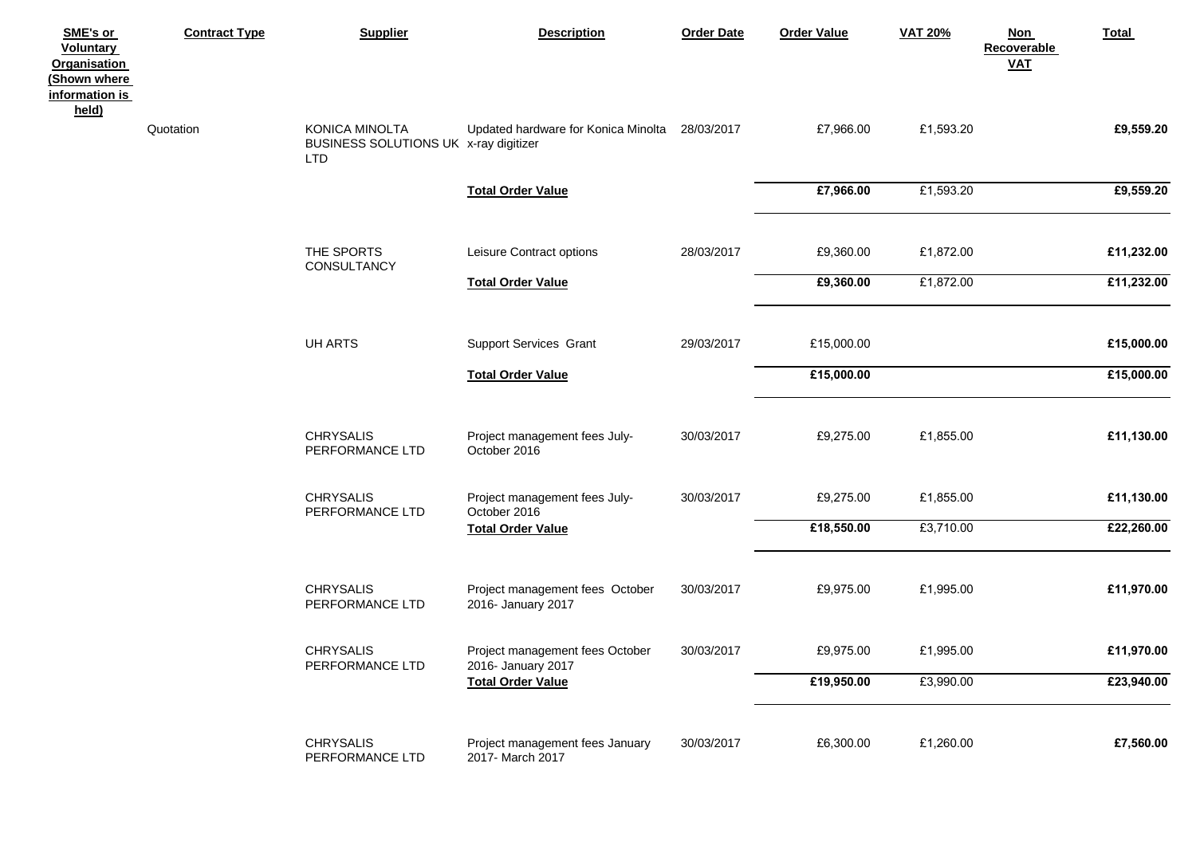| SME's or<br><b>Voluntary</b><br><b>Organisation</b><br>(Shown where<br>information is | <b>Contract Type</b> | <b>Supplier</b>                                                       | <b>Description</b>                                    | <b>Order Date</b> | <b>Order Value</b> | <b>VAT 20%</b> | <b>Non</b><br>Recoverable<br>$VAL$ | Total      |
|---------------------------------------------------------------------------------------|----------------------|-----------------------------------------------------------------------|-------------------------------------------------------|-------------------|--------------------|----------------|------------------------------------|------------|
| held)                                                                                 | Quotation            | KONICA MINOLTA<br>BUSINESS SOLUTIONS UK x-ray digitizer<br><b>LTD</b> | Updated hardware for Konica Minolta 28/03/2017        |                   | £7,966.00          | £1,593.20      |                                    | £9,559.20  |
|                                                                                       |                      |                                                                       | <b>Total Order Value</b>                              |                   | £7,966.00          | £1,593.20      |                                    | £9,559.20  |
|                                                                                       |                      | THE SPORTS<br>CONSULTANCY                                             | Leisure Contract options                              | 28/03/2017        | £9,360.00          | £1,872.00      |                                    | £11,232.00 |
|                                                                                       |                      |                                                                       | <b>Total Order Value</b>                              |                   | £9,360.00          | £1,872.00      |                                    | £11,232.00 |
|                                                                                       |                      | UH ARTS                                                               | <b>Support Services Grant</b>                         | 29/03/2017        | £15,000.00         |                |                                    | £15,000.00 |
|                                                                                       |                      |                                                                       | <b>Total Order Value</b>                              |                   | £15,000.00         |                |                                    | £15,000.00 |
|                                                                                       |                      | <b>CHRYSALIS</b><br>PERFORMANCE LTD                                   | Project management fees July-<br>October 2016         | 30/03/2017        | £9,275.00          | £1,855.00      |                                    | £11,130.00 |
|                                                                                       |                      | <b>CHRYSALIS</b><br>PERFORMANCE LTD                                   | Project management fees July-<br>October 2016         | 30/03/2017        | £9,275.00          | £1,855.00      |                                    | £11,130.00 |
|                                                                                       |                      |                                                                       | <b>Total Order Value</b>                              |                   | £18,550.00         | £3,710.00      |                                    | £22,260.00 |
|                                                                                       |                      | <b>CHRYSALIS</b><br>PERFORMANCE LTD                                   | Project management fees October<br>2016- January 2017 | 30/03/2017        | £9,975.00          | £1,995.00      |                                    | £11,970.00 |
|                                                                                       |                      | <b>CHRYSALIS</b><br>PERFORMANCE LTD                                   | Project management fees October<br>2016- January 2017 | 30/03/2017        | £9,975.00          | £1,995.00      |                                    | £11,970.00 |
|                                                                                       |                      |                                                                       | <b>Total Order Value</b>                              |                   | £19,950.00         | £3,990.00      |                                    | £23,940.00 |
|                                                                                       |                      | <b>CHRYSALIS</b><br>PERFORMANCE LTD                                   | Project management fees January<br>2017- March 2017   | 30/03/2017        | £6,300.00          | £1,260.00      |                                    | £7,560.00  |